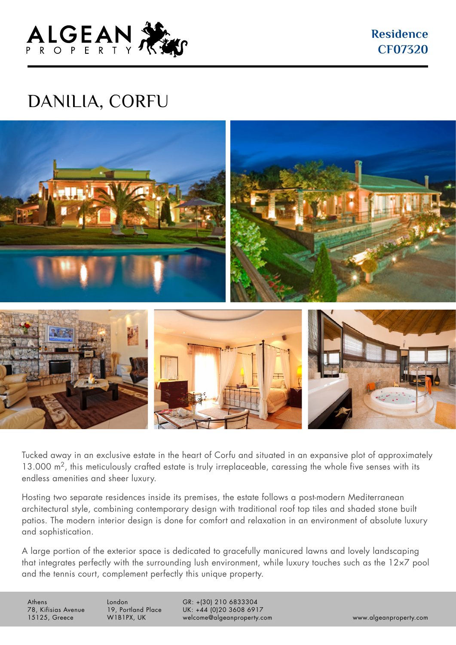

**Residence CF07320**

## DANILIA, CORFU



Tucked away in an exclusive estate in the heart of Corfu and situated in an expansive plot of approximately 13.000 m<sup>2</sup>, this meticulously crafted estate is truly irreplaceable, caressing the whole five senses with its endless amenities and sheer luxury.

Hosting two separate residences inside its premises, the estate follows a post-modern Mediterranean architectural style, combining contemporary design with traditional roof top tiles and shaded stone built patios. The modern interior design is done for comfort and relaxation in an environment of absolute luxury and sophistication.

A large portion of the exterior space is dedicated to gracefully manicured lawns and lovely landscaping that integrates perfectly with the surrounding lush environment, while luxury touches such as the 12×7 pool and the tennis court, complement perfectly this unique property.

Athens 78, Kifisias Avenue 15125, Greece

London 19, Portland Place W1B1PX, UK

GR: +(30) 210 6833304 UK: +44 (0)20 3608 6917 welcome@algeanproperty.com www.algeanproperty.com